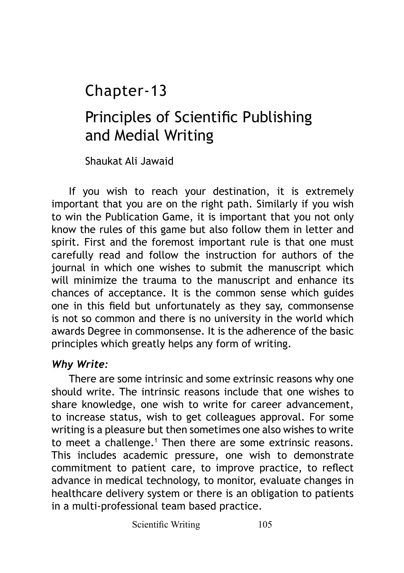# Chapter-13

# Principles of Scientific Publishing and Medial Writing

Shaukat Ali Jawaid

If you wish to reach your destination, it is extremely important that you are on the right path. Similarly if you wish to win the Publication Game, it is important that you not only know the rules of this game but also follow them in letter and spirit. First and the foremost important rule is that one must carefully read and follow the instruction for authors of the journal in which one wishes to submit the manuscript which will minimize the trauma to the manuscript and enhance its chances of acceptance. It is the common sense which guides one in this field but unfortunately as they say, commonsense is not so common and there is no university in the world which awards Degree in commonsense. It is the adherence of the basic principles which greatly helps any form of writing.

#### *Why Write:*

There are some intrinsic and some extrinsic reasons why one should write. The intrinsic reasons include that one wishes to share knowledge, one wish to write for career advancement, to increase status, wish to get colleagues approval. For some writing is a pleasure but then sometimes one also wishes to write to meet a challenge.<sup>1</sup> Then there are some extrinsic reasons. This includes academic pressure, one wish to demonstrate commitment to patient care, to improve practice, to reflect advance in medical technology, to monitor, evaluate changes in healthcare delivery system or there is an obligation to patients in a multi-professional team based practice.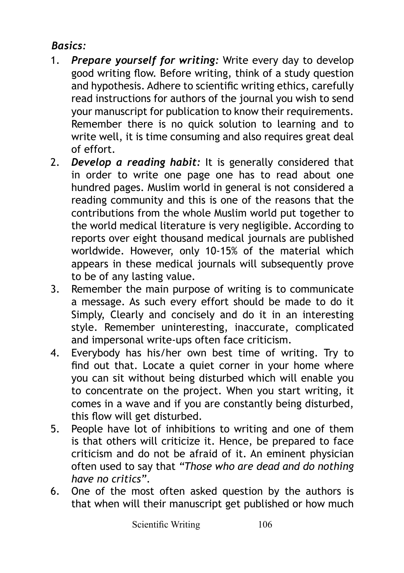## *Basics:*

- 1. *Prepare yourself for writing:* Write every day to develop good writing flow. Before writing, think of a study question and hypothesis. Adhere to scientific writing ethics, carefully read instructions for authors of the journal you wish to send your manuscript for publication to know their requirements. Remember there is no quick solution to learning and to write well, it is time consuming and also requires great deal of effort.
- 2. *Develop a reading habit:* It is generally considered that in order to write one page one has to read about one hundred pages. Muslim world in general is not considered a reading community and this is one of the reasons that the contributions from the whole Muslim world put together to the world medical literature is very negligible. According to reports over eight thousand medical journals are published worldwide. However, only 10-15% of the material which appears in these medical journals will subsequently prove to be of any lasting value.
- 3. Remember the main purpose of writing is to communicate a message. As such every effort should be made to do it Simply, Clearly and concisely and do it in an interesting style. Remember uninteresting, inaccurate, complicated and impersonal write-ups often face criticism.
- 4. Everybody has his/her own best time of writing. Try to find out that. Locate a quiet corner in your home where you can sit without being disturbed which will enable you to concentrate on the project. When you start writing, it comes in a wave and if you are constantly being disturbed, this flow will get disturbed.
- 5. People have lot of inhibitions to writing and one of them is that others will criticize it. Hence, be prepared to face criticism and do not be afraid of it. An eminent physician often used to say that *"Those who are dead and do nothing have no critics"*.
- 6. One of the most often asked question by the authors is that when will their manuscript get published or how much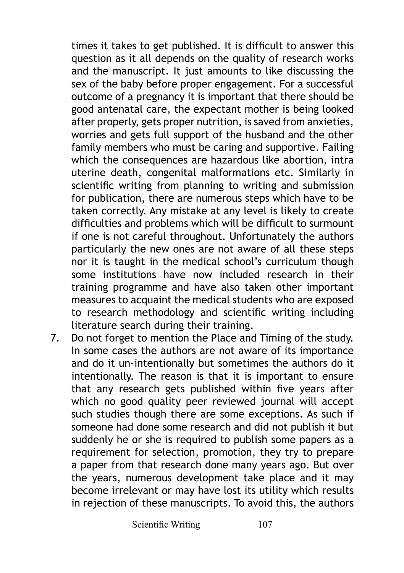times it takes to get published. It is difficult to answer this question as it all depends on the quality of research works and the manuscript. It just amounts to like discussing the sex of the baby before proper engagement. For a successful outcome of a pregnancy it is important that there should be good antenatal care, the expectant mother is being looked after properly, gets proper nutrition, is saved from anxieties, worries and gets full support of the husband and the other family members who must be caring and supportive. Failing which the consequences are hazardous like abortion, intra uterine death, congenital malformations etc. Similarly in scientific writing from planning to writing and submission for publication, there are numerous steps which have to be taken correctly. Any mistake at any level is likely to create difficulties and problems which will be difficult to surmount if one is not careful throughout. Unfortunately the authors particularly the new ones are not aware of all these steps nor it is taught in the medical school's curriculum though some institutions have now included research in their training programme and have also taken other important measures to acquaint the medical students who are exposed to research methodology and scientific writing including literature search during their training.

7. Do not forget to mention the Place and Timing of the study. In some cases the authors are not aware of its importance and do it un-intentionally but sometimes the authors do it intentionally. The reason is that it is important to ensure that any research gets published within five years after which no good quality peer reviewed journal will accept such studies though there are some exceptions. As such if someone had done some research and did not publish it but suddenly he or she is required to publish some papers as a requirement for selection, promotion, they try to prepare a paper from that research done many years ago. But over the years, numerous development take place and it may become irrelevant or may have lost its utility which results in rejection of these manuscripts. To avoid this, the authors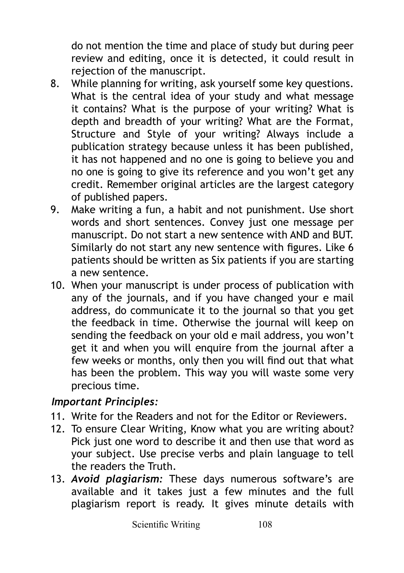do not mention the time and place of study but during peer review and editing, once it is detected, it could result in rejection of the manuscript.

- 8. While planning for writing, ask yourself some key questions. What is the central idea of your study and what message it contains? What is the purpose of your writing? What is depth and breadth of your writing? What are the Format, Structure and Style of your writing? Always include a publication strategy because unless it has been published, it has not happened and no one is going to believe you and no one is going to give its reference and you won't get any credit. Remember original articles are the largest category of published papers.
- 9. Make writing a fun, a habit and not punishment. Use short words and short sentences. Convey just one message per manuscript. Do not start a new sentence with AND and BUT. Similarly do not start any new sentence with figures. Like 6 patients should be written as Six patients if you are starting a new sentence.
- 10. When your manuscript is under process of publication with any of the journals, and if you have changed your e mail address, do communicate it to the journal so that you get the feedback in time. Otherwise the journal will keep on sending the feedback on your old e mail address, you won't get it and when you will enquire from the journal after a few weeks or months, only then you will find out that what has been the problem. This way you will waste some very precious time.

#### *Important Principles:*

- 11. Write for the Readers and not for the Editor or Reviewers.
- 12. To ensure Clear Writing, Know what you are writing about? Pick just one word to describe it and then use that word as your subject. Use precise verbs and plain language to tell the readers the Truth.
- 13. *Avoid plagiarism:* These days numerous software's are available and it takes just a few minutes and the full plagiarism report is ready. It gives minute details with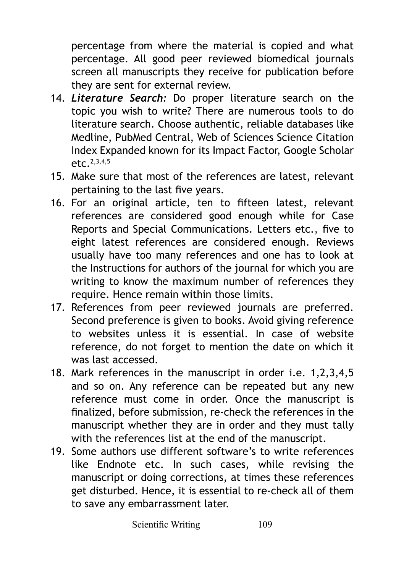percentage from where the material is copied and what percentage. All good peer reviewed biomedical journals screen all manuscripts they receive for publication before they are sent for external review.

- 14. *Literature Search:* Do proper literature search on the topic you wish to write? There are numerous tools to do literature search. Choose authentic, reliable databases like Medline, PubMed Central, Web of Sciences Science Citation Index Expanded known for its Impact Factor, Google Scholar  $\rho$ tc. 2,3,4,5
- 15. Make sure that most of the references are latest, relevant pertaining to the last five years.
- 16. For an original article, ten to fifteen latest, relevant references are considered good enough while for Case Reports and Special Communications. Letters etc., five to eight latest references are considered enough. Reviews usually have too many references and one has to look at the Instructions for authors of the journal for which you are writing to know the maximum number of references they require. Hence remain within those limits.
- 17. References from peer reviewed journals are preferred. Second preference is given to books. Avoid giving reference to websites unless it is essential. In case of website reference, do not forget to mention the date on which it was last accessed.
- 18. Mark references in the manuscript in order i.e. 1,2,3,4,5 and so on. Any reference can be repeated but any new reference must come in order. Once the manuscript is finalized, before submission, re-check the references in the manuscript whether they are in order and they must tally with the references list at the end of the manuscript.
- 19. Some authors use different software's to write references like Endnote etc. In such cases, while revising the manuscript or doing corrections, at times these references get disturbed. Hence, it is essential to re-check all of them to save any embarrassment later.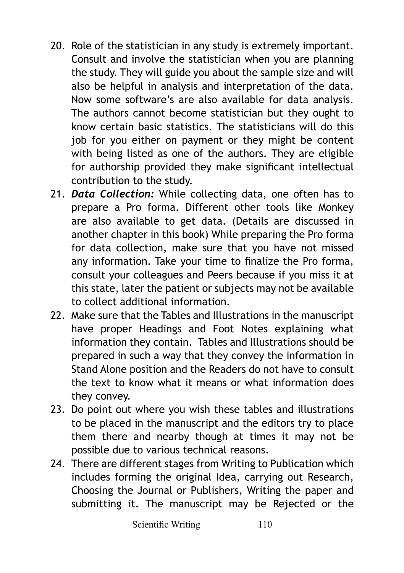- 20. Role of the statistician in any study is extremely important. Consult and involve the statistician when you are planning the study. They will guide you about the sample size and will also be helpful in analysis and interpretation of the data. Now some software's are also available for data analysis. The authors cannot become statistician but they ought to know certain basic statistics. The statisticians will do this job for you either on payment or they might be content with being listed as one of the authors. They are eligible for authorship provided they make significant intellectual contribution to the study.
- 21. *Data Collection:* While collecting data, one often has to prepare a Pro forma. Different other tools like Monkey are also available to get data. (Details are discussed in another chapter in this book) While preparing the Pro forma for data collection, make sure that you have not missed any information. Take your time to finalize the Pro forma, consult your colleagues and Peers because if you miss it at this state, later the patient or subjects may not be available to collect additional information.
- 22. Make sure that the Tables and Illustrations in the manuscript have proper Headings and Foot Notes explaining what information they contain. Tables and Illustrations should be prepared in such a way that they convey the information in Stand Alone position and the Readers do not have to consult the text to know what it means or what information does they convey.
- 23. Do point out where you wish these tables and illustrations to be placed in the manuscript and the editors try to place them there and nearby though at times it may not be possible due to various technical reasons.
- 24. There are different stages from Writing to Publication which includes forming the original Idea, carrying out Research, Choosing the Journal or Publishers, Writing the paper and submitting it. The manuscript may be Rejected or the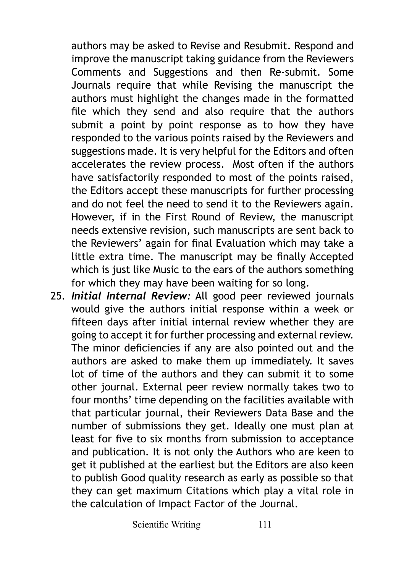authors may be asked to Revise and Resubmit. Respond and improve the manuscript taking guidance from the Reviewers Comments and Suggestions and then Re-submit. Some Journals require that while Revising the manuscript the authors must highlight the changes made in the formatted file which they send and also require that the authors submit a point by point response as to how they have responded to the various points raised by the Reviewers and suggestions made. It is very helpful for the Editors and often accelerates the review process. Most often if the authors have satisfactorily responded to most of the points raised, the Editors accept these manuscripts for further processing and do not feel the need to send it to the Reviewers again. However, if in the First Round of Review, the manuscript needs extensive revision, such manuscripts are sent back to the Reviewers' again for final Evaluation which may take a little extra time. The manuscript may be finally Accepted which is just like Music to the ears of the authors something for which they may have been waiting for so long.

25. *Initial Internal Review:* All good peer reviewed journals would give the authors initial response within a week or fifteen days after initial internal review whether they are going to accept it for further processing and external review. The minor deficiencies if any are also pointed out and the authors are asked to make them up immediately. It saves lot of time of the authors and they can submit it to some other journal. External peer review normally takes two to four months' time depending on the facilities available with that particular journal, their Reviewers Data Base and the number of submissions they get. Ideally one must plan at least for five to six months from submission to acceptance and publication. It is not only the Authors who are keen to get it published at the earliest but the Editors are also keen to publish Good quality research as early as possible so that they can get maximum Citations which play a vital role in the calculation of Impact Factor of the Journal.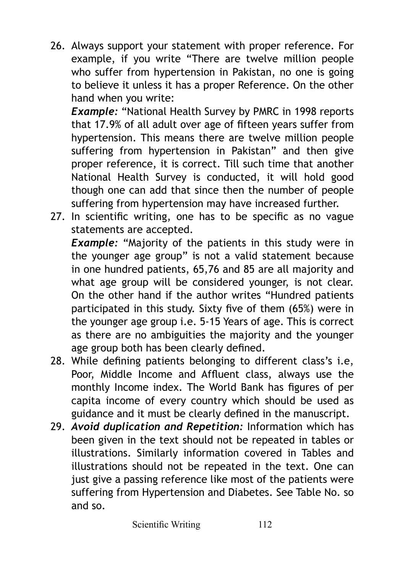26. Always support your statement with proper reference. For example, if you write "There are twelve million people who suffer from hypertension in Pakistan, no one is going to believe it unless it has a proper Reference. On the other hand when you write:

*Example:* "National Health Survey by PMRC in 1998 reports that 17.9% of all adult over age of fifteen years suffer from hypertension. This means there are twelve million people suffering from hypertension in Pakistan" and then give proper reference, it is correct. Till such time that another National Health Survey is conducted, it will hold good though one can add that since then the number of people suffering from hypertension may have increased further.

27. In scientific writing, one has to be specific as no vague statements are accepted.

*Example:* "Majority of the patients in this study were in the younger age group" is not a valid statement because in one hundred patients, 65,76 and 85 are all majority and what age group will be considered younger, is not clear. On the other hand if the author writes "Hundred patients participated in this study. Sixty five of them (65%) were in the younger age group i.e. 5-15 Years of age. This is correct as there are no ambiguities the majority and the younger age group both has been clearly defined.

- 28. While defining patients belonging to different class's i.e, Poor, Middle Income and Affluent class, always use the monthly Income index. The World Bank has figures of per capita income of every country which should be used as guidance and it must be clearly defined in the manuscript.
- 29. *Avoid duplication and Repetition:* Information which has been given in the text should not be repeated in tables or illustrations. Similarly information covered in Tables and illustrations should not be repeated in the text. One can just give a passing reference like most of the patients were suffering from Hypertension and Diabetes. See Table No. so and so.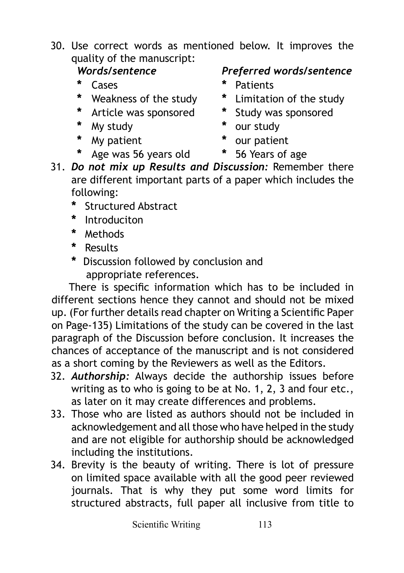30. Use correct words as mentioned below. It improves the quality of the manuscript:

- 
- 
- **\*** Article was sponsored **\*** Study was sponsored
- **\*** My study **\*** our study
- **\*** My patient **\*** our patient
- **\*** Age was 56 years old **\*** 56 Years of age

### *Words/sentence Preferred words/sentence*

- **\*** Cases **\*** Patients
- **\*** Weakness of the study **\*** Limitation of the study
	-
	-
	-
	-
- 31. *Do not mix up Results and Discussion:* Remember there are different important parts of a paper which includes the following:
	- **\*** Structured Abstract
	- **\*** Introduciton
	- **\*** Methods
	- **\*** Results
	- **\*** Discussion followed by conclusion and appropriate references.

There is specific information which has to be included in different sections hence they cannot and should not be mixed up. (For further details read chapter on Writing a Scientific Paper on Page-135) Limitations of the study can be covered in the last paragraph of the Discussion before conclusion. It increases the chances of acceptance of the manuscript and is not considered as a short coming by the Reviewers as well as the Editors.

- 32. *Authorship:* Always decide the authorship issues before writing as to who is going to be at No. 1, 2, 3 and four etc., as later on it may create differences and problems.
- 33. Those who are listed as authors should not be included in acknowledgement and all those who have helped in the study and are not eligible for authorship should be acknowledged including the institutions.
- 34. Brevity is the beauty of writing. There is lot of pressure on limited space available with all the good peer reviewed journals. That is why they put some word limits for structured abstracts, full paper all inclusive from title to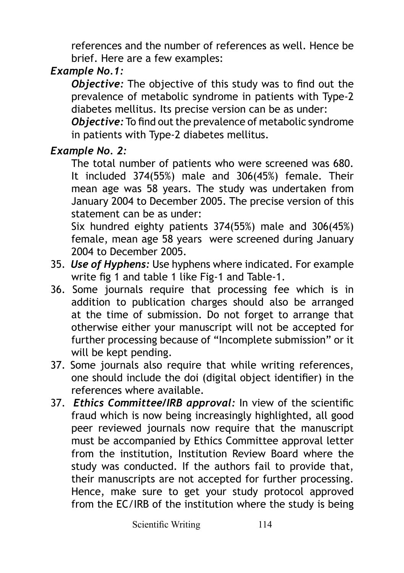references and the number of references as well. Hence be brief. Here are a few examples:

# *Example No.1:*

*Objective:* The objective of this study was to find out the prevalence of metabolic syndrome in patients with Type-2 diabetes mellitus. Its precise version can be as under:

*Objective:* To find out the prevalence of metabolic syndrome in patients with Type-2 diabetes mellitus.

## *Example No. 2:*

The total number of patients who were screened was 680. It included 374(55%) male and 306(45%) female. Their mean age was 58 years. The study was undertaken from January 2004 to December 2005. The precise version of this statement can be as under:

Six hundred eighty patients 374(55%) male and 306(45%) female, mean age 58 years were screened during January 2004 to December 2005.

- 35. *Use of Hyphens:* Use hyphens where indicated. For example write fig 1 and table 1 like Fig-1 and Table-1.
- 36. Some journals require that processing fee which is in addition to publication charges should also be arranged at the time of submission. Do not forget to arrange that otherwise either your manuscript will not be accepted for further processing because of "Incomplete submission" or it will be kept pending.
- 37. Some journals also require that while writing references, one should include the doi (digital object identifier) in the references where available.
- 37. *Ethics Committee/IRB approval:* In view of the scientific fraud which is now being increasingly highlighted, all good peer reviewed journals now require that the manuscript must be accompanied by Ethics Committee approval letter from the institution, Institution Review Board where the study was conducted. If the authors fail to provide that, their manuscripts are not accepted for further processing. Hence, make sure to get your study protocol approved from the EC/IRB of the institution where the study is being